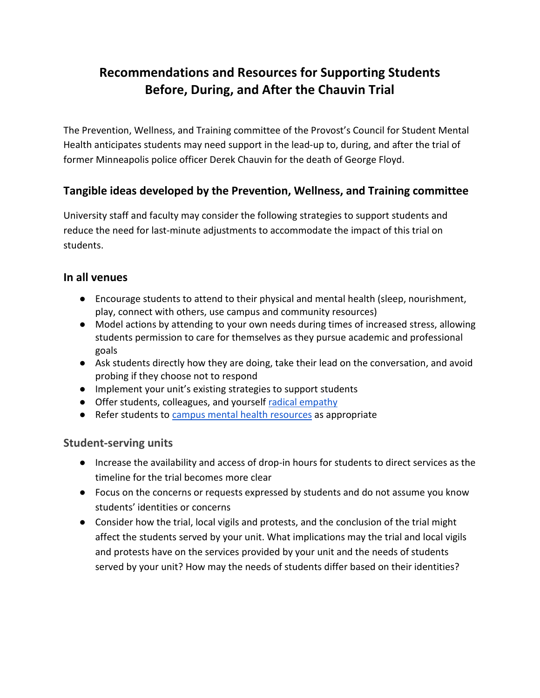# **Recommendations and Resources for Supporting Students Before, During, and After the Chauvin Trial**

The Prevention, Wellness, and Training committee of the Provost's Council for Student Mental Health anticipates students may need support in the lead-up to, during, and after the trial of former Minneapolis police officer Derek Chauvin for the death of George Floyd.

## **Tangible ideas developed by the Prevention, Wellness, and Training committee**

University staff and faculty may consider the following strategies to support students and reduce the need for last-minute adjustments to accommodate the impact of this trial on students.

### **In all venues**

- Encourage students to attend to their physical and mental health (sleep, nourishment, play, connect with others, use campus and community resources)
- Model actions by attending to your own needs during times of increased stress, allowing students permission to care for themselves as they pursue academic and professional goals
- Ask students directly how they are doing, take their lead on the conversation, and avoid probing if they choose not to respond
- Implement your unit's existing strategies to support students
- Offer students, colleagues, and yourself [radical empathy](https://drive.google.com/file/d/1_Q37ZcHDV_tw170Rlh9dMYQ4no73k9aY/view?usp=sharing)
- Refer students to campus mental [health resources](https://osa.umn.edu/mentalhealthresources) as appropriate

### **Student-serving units**

- Increase the availability and access of drop-in hours for students to direct services as the timeline for the trial becomes more clear
- Focus on the concerns or requests expressed by students and do not assume you know students' identities or concerns
- Consider how the trial, local vigils and protests, and the conclusion of the trial might affect the students served by your unit. What implications may the trial and local vigils and protests have on the services provided by your unit and the needs of students served by your unit? How may the needs of students differ based on their identities?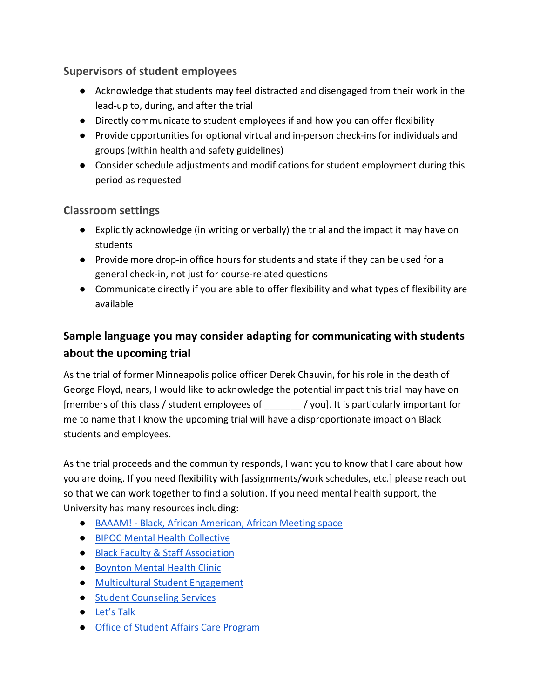## **Supervisors of student employees**

- Acknowledge that students may feel distracted and disengaged from their work in the lead-up to, during, and after the trial
- Directly communicate to student employees if and how you can offer flexibility
- Provide opportunities for optional virtual and in-person check-ins for individuals and groups (within health and safety guidelines)
- Consider schedule adjustments and modifications for student employment during this period as requested

## **Classroom settings**

- Explicitly acknowledge (in writing or verbally) the trial and the impact it may have on students
- Provide more drop-in office hours for students and state if they can be used for a general check-in, not just for course-related questions
- Communicate directly if you are able to offer flexibility and what types of flexibility are available

## **Sample language you may consider adapting for communicating with students about the upcoming trial**

As the trial of former Minneapolis police officer Derek Chauvin, for his role in the death of George Floyd, nears, I would like to acknowledge the potential impact this trial may have on [members of this class / student employees of \_\_\_\_\_\_\_ / you]. It is particularly important for me to name that I know the upcoming trial will have a disproportionate impact on Black students and employees.

As the trial proceeds and the community responds, I want you to know that I care about how you are doing. If you need flexibility with [assignments/work schedules, etc.] please reach out so that we can work together to find a solution. If you need mental health support, the University has many resources including:

- BAAAM! [Black, African American, African Meeting space](https://counseling.umn.edu/groups-workshops)
- [BIPOC Mental Health Collective](https://counseling.umn.edu/bipoc-mental-health-collective)
- [Black Faculty & Staff Association](https://sites.google.com/a/umn.edu/bfsa-1/home)
- Boynton [Mental Health Clinic](https://boynton.umn.edu/clinics/mental-health)
- [Multicultural Student Engagement](http://mcse.umn.edu/)
- [Student Counseling Services](https://counseling.umn.edu/)
- [Let's Talk](https://counseling.umn.edu/lets-talk)
- [Office of Student Affairs Care Program](http://care.umn.edu/)